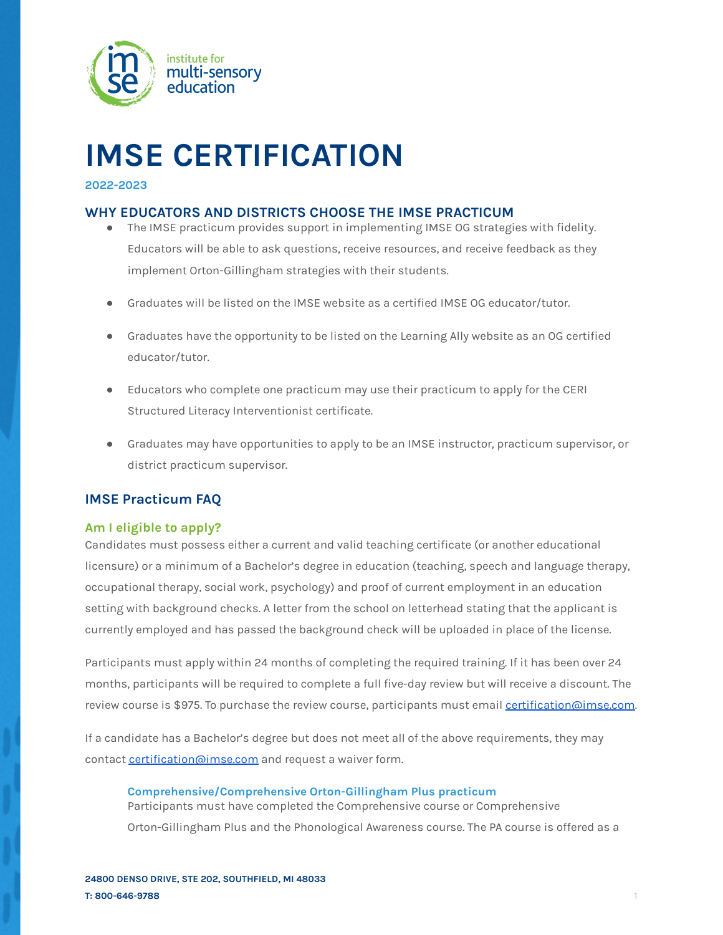

# **IMSE CERTIFICATION**

# **2022-2023**

# **WHY EDUCATORS AND DISTRICTS CHOOSE THE IMSE PRACTICUM**

- The IMSE practicum provides support in implementing IMSE OG strategies with fidelity. Educators will be able to ask questions, receive resources, and receive feedback as they implement Orton-Gillingham strategies with their students.
- Graduates will be listed on the IMSE website as a certified IMSE OG educator/tutor.
- Graduates have the opportunity to be listed on the Learning Ally website as an OG certified educator/tutor.
- Educators who complete one practicum may use their practicum to apply for the CERI Structured Literacy Interventionist certificate.
- Graduates may have opportunities to apply to be an IMSE instructor, practicum supervisor, or district practicum supervisor.

# **IMSE Practicum FAQ**

# **Am I eligible to apply?**

Candidates must possess either a current and valid teaching certificate (or another educational licensure) or a minimum of a Bachelor's degree in education (teaching, speech and language therapy, occupational therapy, social work, psychology) and proof of current employment in an education setting with background checks. A letter from the school on letterhead stating that the applicant is currently employed and has passed the background check will be uploaded in place of the license.

Participants must apply within 24 months of completing the required training. If it has been over 24 months, participants will be required to complete a full five-day review but will receive a discount. The review course is \$975. To purchase the review course, participants must email [certification@imse.com](mailto:certification@imse.com).

If a candidate has a Bachelor's degree but does not meet all of the above requirements, they may contact [certification@imse.com](mailto:certification@imse.com) and request a waiver form.

## **Comprehensive/Comprehensive Orton-Gillingham Plus practicum**

Participants must have completed the Comprehensive course or Comprehensive

Orton-Gillingham Plus and the Phonological Awareness course. The PA course is offered as a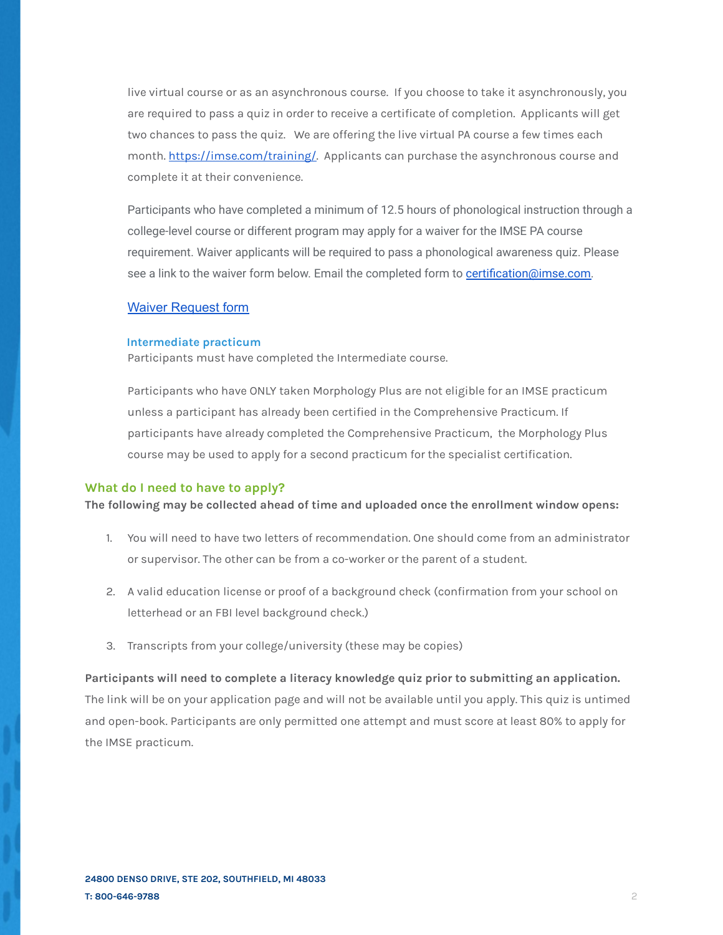live virtual course or as an asynchronous course. If you choose to take it asynchronously, you are required to pass a quiz in order to receive a certificate of completion. Applicants will get two chances to pass the quiz. We are offering the live virtual PA course a few times each month. <https://imse.com/training/>. Applicants can purchase the asynchronous course and complete it at their convenience.

Participants who have completed a minimum of 12.5 hours of phonological instruction through a college-level course or different program may apply for a waiver for the IMSE PA course requirement. Waiver applicants will be required to pass a phonological awareness quiz. Please see a link to the waiver form below. Email the completed form to [certification@imse.com.](mailto:certification@imse.com)

# Waiver [Request](https://docs.google.com/document/d/1w30eUzElFDetmRWH-zpGNKVUcPrqEWYnF3N4ngnUnGo/edit?usp=sharing) form

#### **Intermediate practicum**

Participants must have completed the Intermediate course.

Participants who have ONLY taken Morphology Plus are not eligible for an IMSE practicum unless a participant has already been certified in the Comprehensive Practicum. If participants have already completed the Comprehensive Practicum, the Morphology Plus course may be used to apply for a second practicum for the specialist certification.

#### **What do I need to have to apply?**

**The following may be collected ahead of time and uploaded once the enrollment window opens:**

- 1. You will need to have two letters of recommendation. One should come from an administrator or supervisor. The other can be from a co-worker or the parent of a student.
- 2. A valid education license or proof of a background check (confirmation from your school on letterhead or an FBI level background check.)
- 3. Transcripts from your college/university (these may be copies)

**Participants will need to complete a literacy knowledge quiz prior to submitting an application.** The link will be on your application page and will not be available until you apply. This quiz is untimed and open-book. Participants are only permitted one attempt and must score at least 80% to apply for the IMSE practicum.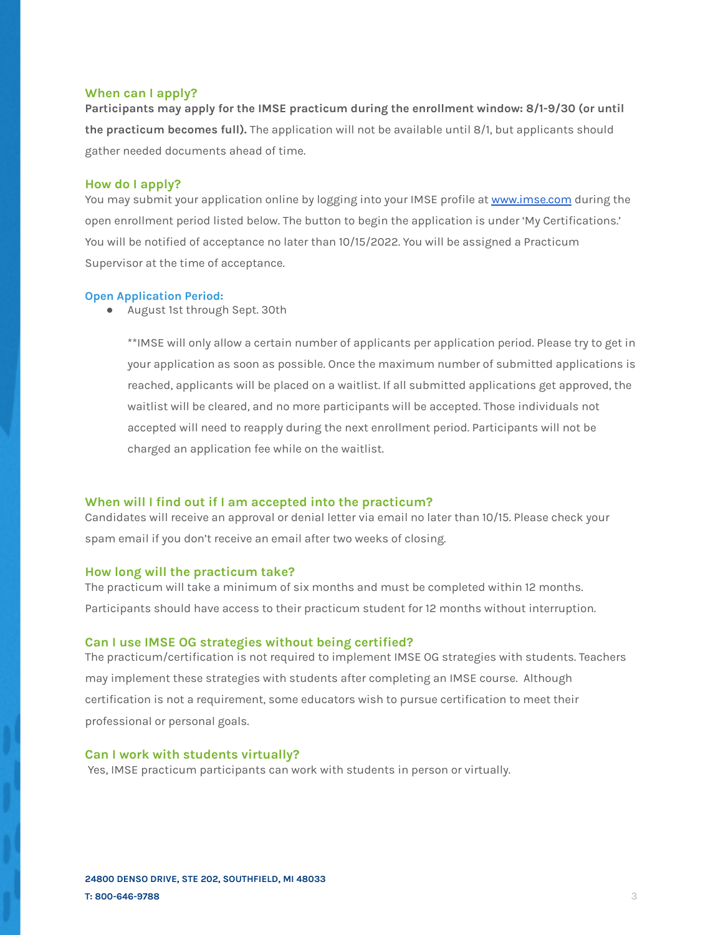#### **When can I apply?**

**Participants may apply for the IMSE practicum during the enrollment window: 8/1-9/30 (or until the practicum becomes full).** The application will not be available until 8/1, but applicants should gather needed documents ahead of time.

#### **How do I apply?**

You may submit your application online by logging into your IMSE profile at [www.imse.com](http://www.imse.com) during the open enrollment period listed below. The button to begin the application is under 'My Certifications.' You will be notified of acceptance no later than 10/15/2022. You will be assigned a Practicum Supervisor at the time of acceptance.

#### **Open Application Period:**

● August 1st through Sept. 30th

\*\*IMSE will only allow a certain number of applicants per application period. Please try to get in your application as soon as possible. Once the maximum number of submitted applications is reached, applicants will be placed on a waitlist. If all submitted applications get approved, the waitlist will be cleared, and no more participants will be accepted. Those individuals not accepted will need to reapply during the next enrollment period. Participants will not be charged an application fee while on the waitlist.

#### **When will I find out if I am accepted into the practicum?**

Candidates will receive an approval or denial letter via email no later than 10/15. Please check your spam email if you don't receive an email after two weeks of closing.

#### **How long will the practicum take?**

The practicum will take a minimum of six months and must be completed within 12 months. Participants should have access to their practicum student for 12 months without interruption.

# **Can I use IMSE OG strategies without being certified?**

The practicum/certification is not required to implement IMSE OG strategies with students. Teachers may implement these strategies with students after completing an IMSE course. Although certification is not a requirement, some educators wish to pursue certification to meet their professional or personal goals.

# **Can I work with students virtually?**

Yes, IMSE practicum participants can work with students in person or virtually.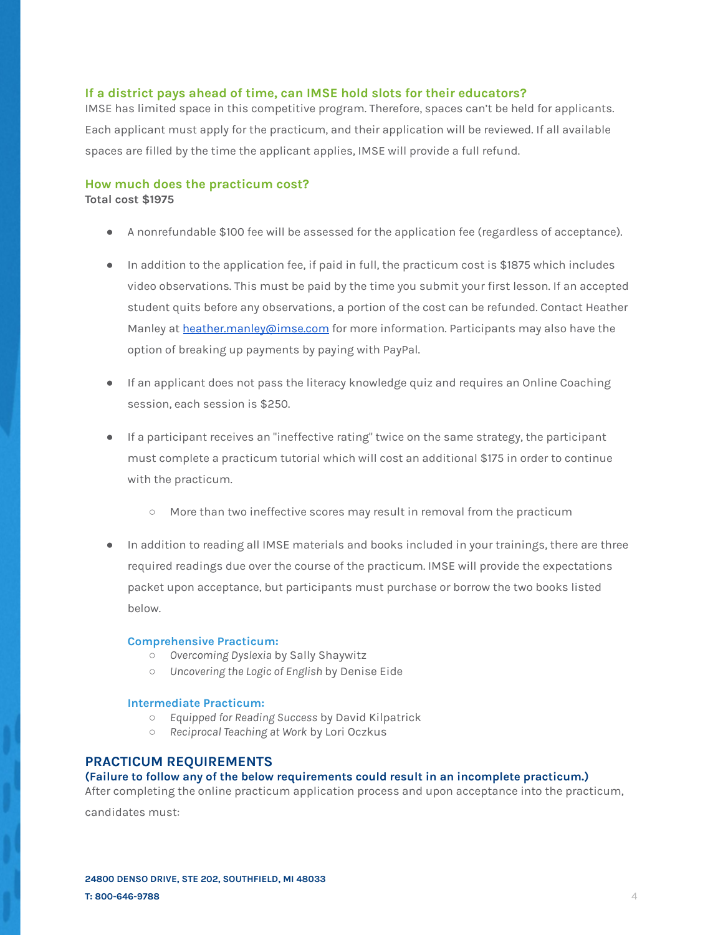#### **If a district pays ahead of time, can IMSE hold slots for their educators?**

IMSE has limited space in this competitive program. Therefore, spaces can't be held for applicants. Each applicant must apply for the practicum, and their application will be reviewed. If all available spaces are filled by the time the applicant applies, IMSE will provide a full refund.

# **How much does the practicum cost?**

**Total cost \$1975**

- A nonrefundable \$100 fee will be assessed for the application fee (regardless of acceptance).
- In addition to the application fee, if paid in full, the practicum cost is \$1875 which includes video observations. This must be paid by the time you submit your first lesson. If an accepted student quits before any observations, a portion of the cost can be refunded. Contact Heather Manley at [heather.manley@imse.com](mailto:Heather.manley@imse.com) for more information. Participants may also have the option of breaking up payments by paying with PayPal.
- If an applicant does not pass the literacy knowledge quiz and requires an Online Coaching session, each session is \$250.
- If a participant receives an "ineffective rating" twice on the same strategy, the participant must complete a practicum tutorial which will cost an additional \$175 in order to continue with the practicum.
	- More than two ineffective scores may result in removal from the practicum
- In addition to reading all IMSE materials and books included in your trainings, there are three required readings due over the course of the practicum. IMSE will provide the expectations packet upon acceptance, but participants must purchase or borrow the two books listed below.

#### **Comprehensive Practicum:**

- *Overcoming Dyslexia* by Sally Shaywitz
- *Uncovering the Logic of English* by Denise Eide

## **Intermediate Practicum:**

- *Equipped for Reading Success* by David Kilpatrick
- *Reciprocal Teaching at Work* by Lori Oczkus

# **PRACTICUM REQUIREMENTS**

# **(Failure to follow any of the below requirements could result in an incomplete practicum.)**

After completing the online practicum application process and upon acceptance into the practicum,

candidates must: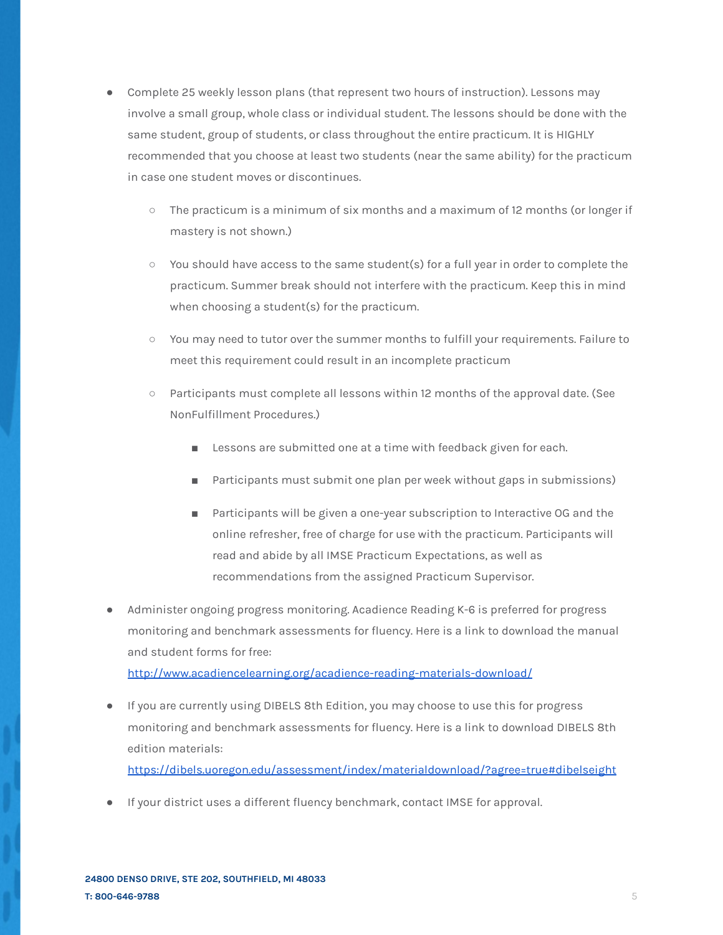- Complete 25 weekly lesson plans (that represent two hours of instruction). Lessons may involve a small group, whole class or individual student. The lessons should be done with the same student, group of students, or class throughout the entire practicum. It is HIGHLY recommended that you choose at least two students (near the same ability) for the practicum in case one student moves or discontinues.
	- The practicum is a minimum of six months and a maximum of 12 months (or longer if mastery is not shown.)
	- You should have access to the same student(s) for a full year in order to complete the practicum. Summer break should not interfere with the practicum. Keep this in mind when choosing a student(s) for the practicum.
	- You may need to tutor over the summer months to fulfill your requirements. Failure to meet this requirement could result in an incomplete practicum
	- Participants must complete all lessons within 12 months of the approval date. (See NonFulfillment Procedures.)
		- Lessons are submitted one at a time with feedback given for each.
		- Participants must submit one plan per week without gaps in submissions)
		- Participants will be given a one-year subscription to Interactive OG and the online refresher, free of charge for use with the practicum. Participants will read and abide by all IMSE Practicum Expectations, as well as recommendations from the assigned Practicum Supervisor.
- Administer ongoing progress monitoring. Acadience Reading K-6 is preferred for progress monitoring and benchmark assessments for fluency. Here is a link to download the manual and student forms for free:

<http://www.acadiencelearning.org/acadience-reading-materials-download/>

● If you are currently using DIBELS 8th Edition, you may choose to use this for progress monitoring and benchmark assessments for fluency. Here is a link to download DIBELS 8th edition materials:

<https://dibels.uoregon.edu/assessment/index/materialdownload/?agree=true#dibelseight>

● If your district uses a different fluency benchmark, contact IMSE for approval.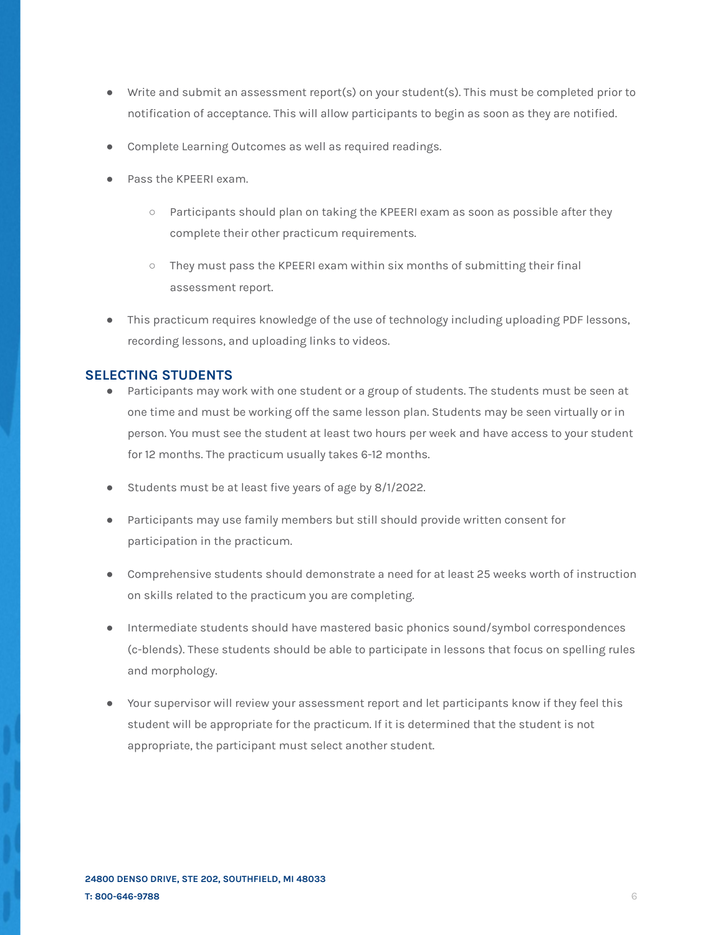- Write and submit an assessment report(s) on your student(s). This must be completed prior to notification of acceptance. This will allow participants to begin as soon as they are notified.
- Complete Learning Outcomes as well as required readings.
- Pass the KPEERI exam.
	- $\circ$  Participants should plan on taking the KPEERI exam as soon as possible after they complete their other practicum requirements.
	- They must pass the KPEERI exam within six months of submitting their final assessment report.
- This practicum requires knowledge of the use of technology including uploading PDF lessons, recording lessons, and uploading links to videos.

# **SELECTING STUDENTS**

- Participants may work with one student or a group of students. The students must be seen at one time and must be working off the same lesson plan. Students may be seen virtually or in person. You must see the student at least two hours per week and have access to your student for 12 months. The practicum usually takes 6-12 months.
- Students must be at least five years of age by 8/1/2022.
- Participants may use family members but still should provide written consent for participation in the practicum.
- Comprehensive students should demonstrate a need for at least 25 weeks worth of instruction on skills related to the practicum you are completing.
- Intermediate students should have mastered basic phonics sound/symbol correspondences (c-blends). These students should be able to participate in lessons that focus on spelling rules and morphology.
- Your supervisor will review your assessment report and let participants know if they feel this student will be appropriate for the practicum. If it is determined that the student is not appropriate, the participant must select another student.